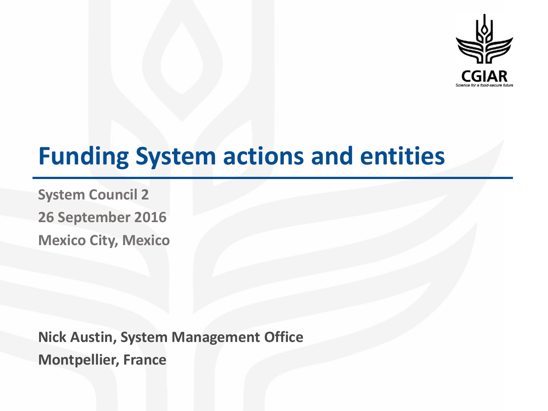

# **Funding System actions and entities**

**System Council 2 26 September 2016 Mexico City, Mexico**

**Nick Austin, System Management Office Montpellier, France**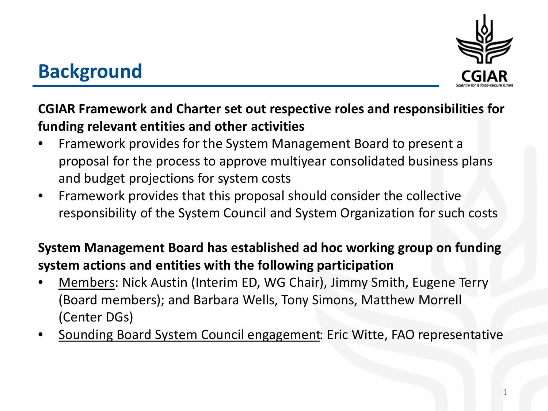

#### **Background**

#### **CGIAR Framework and Charter set out respective roles and responsibilities for funding relevant entities and other activities**

- Framework provides for the System Management Board to present a proposal for the process to approve multiyear consolidated business plans and budget projections for system costs
- Framework provides that this proposal should consider the collective responsibility of the System Council and System Organization for such costs

#### **System Management Board has established ad hoc working group on funding system actions and entities with the following participation**

- Members: Nick Austin (Interim ED, WG Chair), Jimmy Smith, Eugene Terry (Board members); and Barbara Wells, Tony Simons, Matthew Morrell (Center DGs)
- Sounding Board System Council engagement: Eric Witte, FAO representative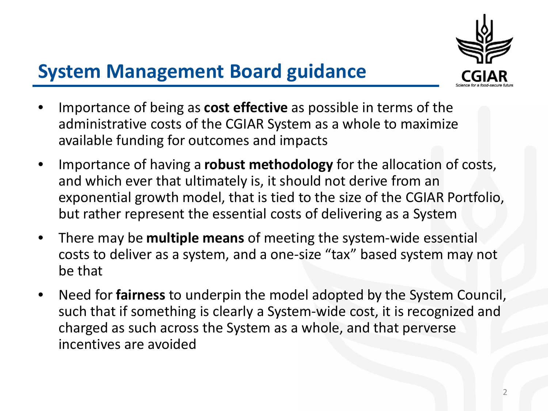

## **System Management Board guidance**

- Importance of being as **cost effective** as possible in terms of the administrative costs of the CGIAR System as a whole to maximize available funding for outcomes and impacts
- Importance of having a **robust methodology** for the allocation of costs, and which ever that ultimately is, it should not derive from an exponential growth model, that is tied to the size of the CGIAR Portfolio, but rather represent the essential costs of delivering as a System
- There may be **multiple means** of meeting the system-wide essential costs to deliver as a system, and a one-size "tax" based system may not be that
- Need for **fairness** to underpin the model adopted by the System Council, such that if something is clearly a System-wide cost, it is recognized and charged as such across the System as a whole, and that perverse incentives are avoided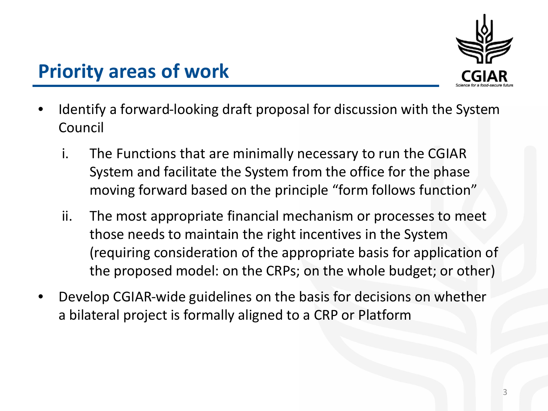

## **Priority areas of work**

- Identify a forward-looking draft proposal for discussion with the System Council
	- i. The Functions that are minimally necessary to run the CGIAR System and facilitate the System from the office for the phase moving forward based on the principle "form follows function"
	- ii. The most appropriate financial mechanism or processes to meet those needs to maintain the right incentives in the System (requiring consideration of the appropriate basis for application of the proposed model: on the CRPs; on the whole budget; or other)
- Develop CGIAR-wide guidelines on the basis for decisions on whether a bilateral project is formally aligned to a CRP or Platform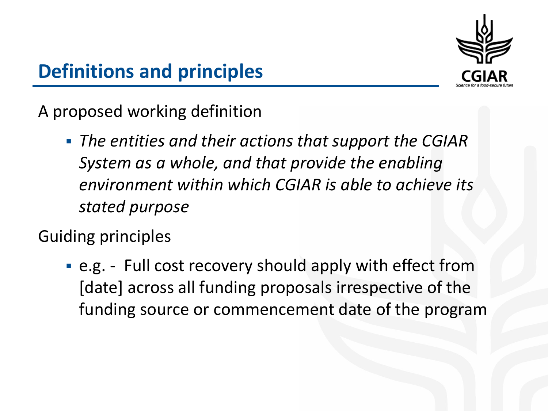

## **Definitions and principles**

A proposed working definition

 *The entities and their actions that support the CGIAR System as a whole, and that provide the enabling environment within which CGIAR is able to achieve its stated purpose*

Guiding principles

 e.g. - Full cost recovery should apply with effect from [date] across all funding proposals irrespective of the funding source or commencement date of the program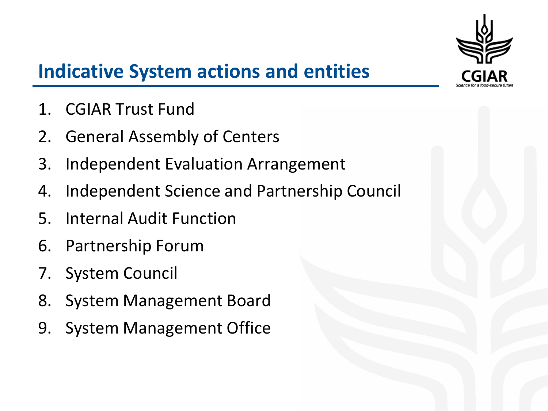

## **Indicative System actions and entities**

- 1. CGIAR Trust Fund
- 2. General Assembly of Centers
- 3. Independent Evaluation Arrangement
- 4. Independent Science and Partnership Council
- 5. Internal Audit Function
- 6. Partnership Forum
- 7. System Council
- 8. System Management Board
- 9. System Management Office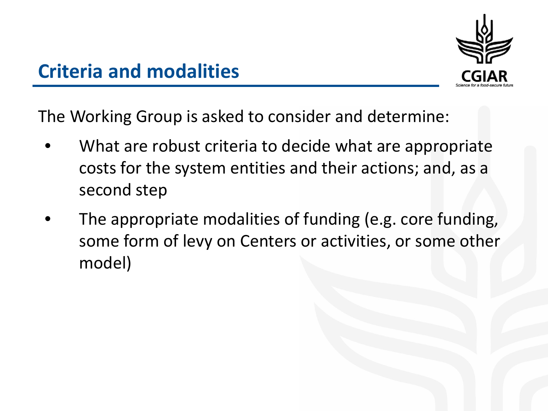

**Criteria and modalities**

The Working Group is asked to consider and determine:

- What are robust criteria to decide what are appropriate costs for the system entities and their actions; and, as a second step
- The appropriate modalities of funding (e.g. core funding, some form of levy on Centers or activities, or some other model)